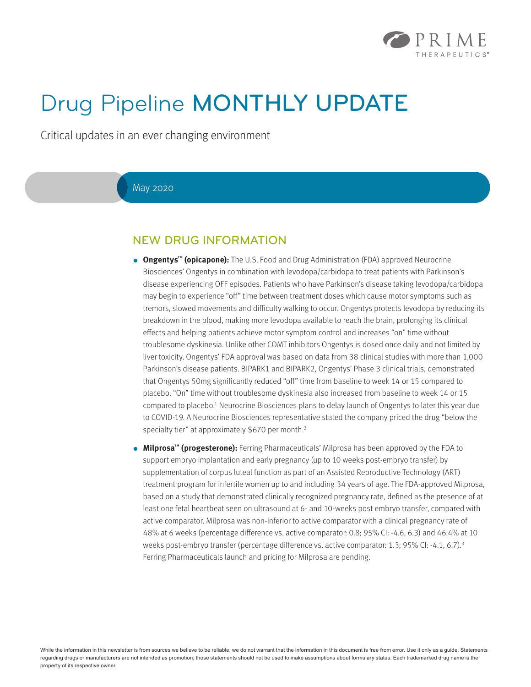

# Drug Pipeline MONTHLY UPDATE

Critical updates in an ever changing environment

#### May 2020

### NEW DRUG INFORMATION

- **● Ongentys™ (opicapone):** The U.S. Food and Drug Administration (FDA) approved Neurocrine Biosciences' Ongentys in combination with levodopa/carbidopa to treat patients with Parkinson's disease experiencing OFF episodes. Patients who have Parkinson's disease taking levodopa/carbidopa may begin to experience "off" time between treatment doses which cause motor symptoms such as tremors, slowed movements and difficulty walking to occur. Ongentys protects levodopa by reducing its breakdown in the blood, making more levodopa available to reach the brain, prolonging its clinical effects and helping patients achieve motor symptom control and increases "on" time without troublesome dyskinesia. Unlike other COMT inhibitors Ongentys is dosed once daily and not limited by liver toxicity. Ongentys' FDA approval was based on data from 38 clinical studies with more than 1,000 Parkinson's disease patients. BIPARK1 and BIPARK2, Ongentys' Phase 3 clinical trials, demonstrated that Ongentys 50mg significantly reduced "off" time from baseline to week 14 or 15 compared to placebo. "On" time without troublesome dyskinesia also increased from baseline to week 14 or 15 compared to placebo.<sup>1</sup> Neurocrine Biosciences plans to delay launch of Ongentys to later this year due to COVID-19. A Neurocrine Biosciences representative stated the company priced the drug "below the specialty tier" at approximately \$670 per month.<sup>2</sup>
- **● Milprosa™ (progesterone):** Ferring Pharmaceuticals' Milprosa has been approved by the FDA to support embryo implantation and early pregnancy (up to 10 weeks post-embryo transfer) by supplementation of corpus luteal function as part of an Assisted Reproductive Technology (ART) treatment program for infertile women up to and including 34 years of age. The FDA-approved Milprosa, based on a study that demonstrated clinically recognized pregnancy rate, defined as the presence of at least one fetal heartbeat seen on ultrasound at 6- and 10-weeks post embryo transfer, compared with active comparator. Milprosa was non-inferior to active comparator with a clinical pregnancy rate of 48% at 6 weeks (percentage difference vs. active comparator: 0.8; 95% CI: -4.6, 6.3) and 46.4% at 10 weeks post-embryo transfer (percentage difference vs. active comparator: 1.3; 95% CI: -4.1, 6.7).<sup>3</sup> Ferring Pharmaceuticals launch and pricing for Milprosa are pending.

While the information in this newsletter is from sources we believe to be reliable, we do not warrant that the information in this document is free from error. Use it only as a guide. Statements regarding drugs or manufacturers are not intended as promotion; those statements should not be used to make assumptions about formulary status. Each trademarked drug name is the property of its respective owner.